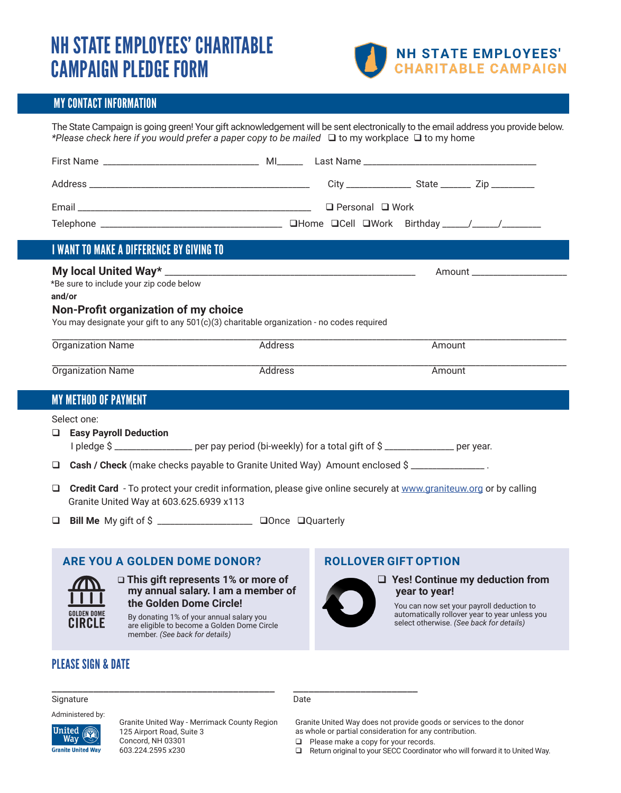## NH STATE EMPLOYEES' CHARITABLE CAMPAIGN PLEDGE FORM



#### MY CONTACT INFORMATION

The State Campaign is going green! Your gift acknowledgement will be sent electronically to the email address you provide below. \*Please check here if you would prefer a paper copy to be mailed  $\Box$  to my workplace  $\Box$  to my home

| <b>I WANT TO MAKE A DIFFEDENCE RY CIVING TO</b> |  |  |
|-------------------------------------------------|--|--|

### I WANT TO MAKE A DIFFERENCE BY GIVING TO

#### **My local United Way\*** \_\_\_\_\_\_\_\_\_\_\_\_\_\_\_\_\_\_\_\_\_\_\_\_\_\_\_\_\_\_\_\_\_\_\_\_\_\_\_\_\_\_\_\_\_\_\_\_\_\_\_\_\_\_\_\_\_\_Amount \_\_\_\_\_\_\_\_\_\_\_\_\_\_\_\_\_\_\_\_\_\_

\*Be sure to include your zip code below **and/or**

#### **Non-Profit organization of my choice**

You may designate your gift to any 501(c)(3) charitable organization - no codes required

| ∽<br>.ne<br>'val                    | ____________________     | moun' |  |
|-------------------------------------|--------------------------|-------|--|
| _________________<br>∽<br>me<br>. . | ________________________ | moun  |  |

#### MY METHOD OF PAYMENT

Select one:

q **Easy Payroll Deduction**

I pledge \$ \_\_\_\_\_\_\_\_\_\_\_\_\_\_\_\_\_\_\_ per pay period (bi-weekly) for a total gift of \$ \_\_\_\_\_\_\_\_\_\_\_\_\_\_\_\_\_ per year.

- □ Cash / Check (make checks payable to Granite United Way) Amount enclosed \$ \_\_\_\_\_\_\_\_\_\_\_\_\_\_\_\_\_\_\_\_.
- Gredit Card To protect your credit information, please give online securely at www.graniteuw.org or by calling Granite United Way at 603.625.6939 x113
- q **Bill Me** My gift of \$ \_\_\_\_\_\_\_\_\_\_\_\_\_\_\_\_\_\_\_\_\_\_ qOnce qQuarterly

#### **ARE YOU A GOLDEN DOME DONOR?**



#### q **This gift represents 1% or more of my annual salary. I am a member of the Golden Dome Circle!**

By donating 1% of your annual salary you are eligible to become a Golden Dome Circle member. *(See back for details)* 

### PLEASE SIGN & DATE

#### **ROLLOVER GIFT OPTION**



#### □ Yes! Continue my deduction from  **year to year!**

You can now set your payroll deduction to automatically rollover year to year unless you select otherwise. *(See back for details)*

#### Signature Date **Date**

Administered by:



Granite United Way - Merrimack County Region 125 Airport Road, Suite 3 Concord, NH 03301 603.224.2595 x230

### \_\_\_\_\_\_\_\_\_\_\_\_\_\_\_\_\_\_\_\_\_\_\_\_\_\_\_\_\_\_\_\_\_\_\_\_\_\_\_\_\_\_\_ \_\_\_\_\_\_\_\_\_\_\_\_\_\_\_\_\_\_\_\_\_\_\_\_

Granite United Way does not provide goods or services to the donor as whole or partial consideration for any contribution.

- **Q** Please make a copy for your records.
- $\Box$  Return original to your SECC Coordinator who will forward it to United Way.